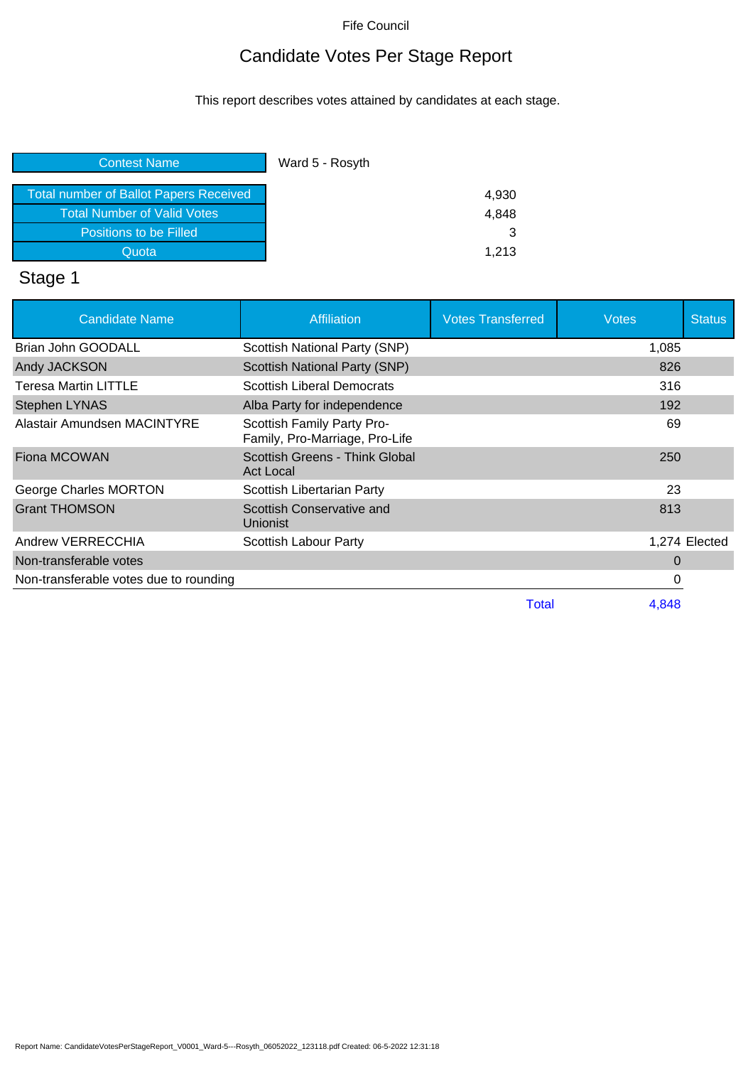## Candidate Votes Per Stage Report

This report describes votes attained by candidates at each stage.

| <b>Contest Name</b>                           | Ward 5 - Rosyth |
|-----------------------------------------------|-----------------|
| <b>Total number of Ballot Papers Received</b> | 4,930           |
| <b>Total Number of Valid Votes</b>            | 4.848           |
| Positions to be Filled                        | 3               |
| Quota                                         | 1.213           |

# Stage 1

| <b>Candidate Name</b>                  | <b>Affiliation</b>                                           | <b>Votes Transferred</b> | Votes | <b>Status</b> |
|----------------------------------------|--------------------------------------------------------------|--------------------------|-------|---------------|
| Brian John GOODALL                     | Scottish National Party (SNP)                                |                          | 1,085 |               |
| Andy JACKSON                           | <b>Scottish National Party (SNP)</b>                         |                          | 826   |               |
| <b>Teresa Martin LITTLE</b>            | <b>Scottish Liberal Democrats</b>                            |                          | 316   |               |
| <b>Stephen LYNAS</b>                   | Alba Party for independence                                  |                          | 192   |               |
| Alastair Amundsen MACINTYRE            | Scottish Family Party Pro-<br>Family, Pro-Marriage, Pro-Life |                          | 69    |               |
| Fiona MCOWAN                           | Scottish Greens - Think Global<br><b>Act Local</b>           |                          | 250   |               |
| George Charles MORTON                  | Scottish Libertarian Party                                   |                          | 23    |               |
| <b>Grant THOMSON</b>                   | Scottish Conservative and<br>Unionist                        |                          | 813   |               |
| Andrew VERRECCHIA                      | Scottish Labour Party                                        |                          |       | 1,274 Elected |
| Non-transferable votes                 |                                                              |                          | 0     |               |
| Non-transferable votes due to rounding |                                                              |                          | 0     |               |
|                                        |                                                              | Total                    | 4,848 |               |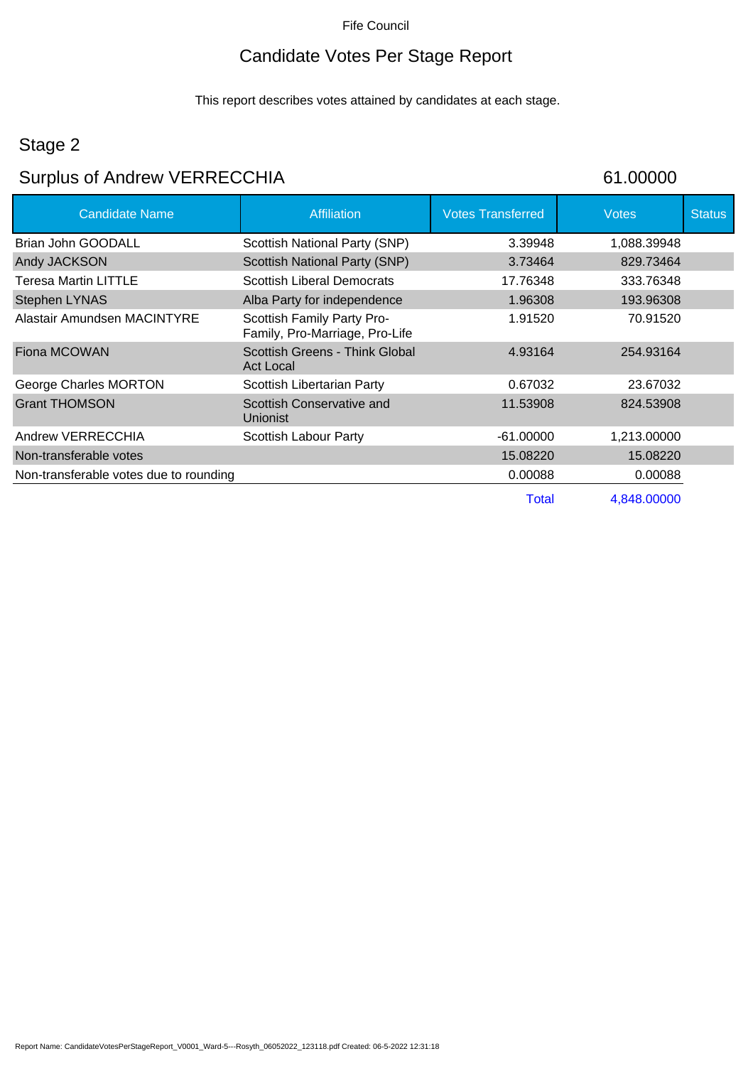### Candidate Votes Per Stage Report

This report describes votes attained by candidates at each stage.

### Stage 2

# Surplus of Andrew VERRECCHIA 61.00000

| <b>Candidate Name</b>                  | <b>Affiliation</b>                                           | <b>Votes Transferred</b> | <b>Votes</b> | <b>Status</b> |
|----------------------------------------|--------------------------------------------------------------|--------------------------|--------------|---------------|
| <b>Brian John GOODALL</b>              | Scottish National Party (SNP)                                | 3.39948                  | 1,088.39948  |               |
| Andy JACKSON                           | Scottish National Party (SNP)                                | 3.73464                  | 829.73464    |               |
| Teresa Martin LITTLE                   | <b>Scottish Liberal Democrats</b>                            | 17.76348                 | 333.76348    |               |
| <b>Stephen LYNAS</b>                   | Alba Party for independence                                  | 1.96308                  | 193.96308    |               |
| Alastair Amundsen MACINTYRE            | Scottish Family Party Pro-<br>Family, Pro-Marriage, Pro-Life | 1.91520                  | 70.91520     |               |
| Fiona MCOWAN                           | Scottish Greens - Think Global<br>Act Local                  | 4.93164                  | 254.93164    |               |
| George Charles MORTON                  | Scottish Libertarian Party                                   | 0.67032                  | 23.67032     |               |
| <b>Grant THOMSON</b>                   | Scottish Conservative and<br>Unionist                        | 11.53908                 | 824.53908    |               |
| Andrew VERRECCHIA                      | Scottish Labour Party                                        | $-61.00000$              | 1,213.00000  |               |
| Non-transferable votes                 |                                                              | 15.08220                 | 15.08220     |               |
| Non-transferable votes due to rounding |                                                              | 0.00088                  | 0.00088      |               |
|                                        |                                                              | <b>Total</b>             | 4,848.00000  |               |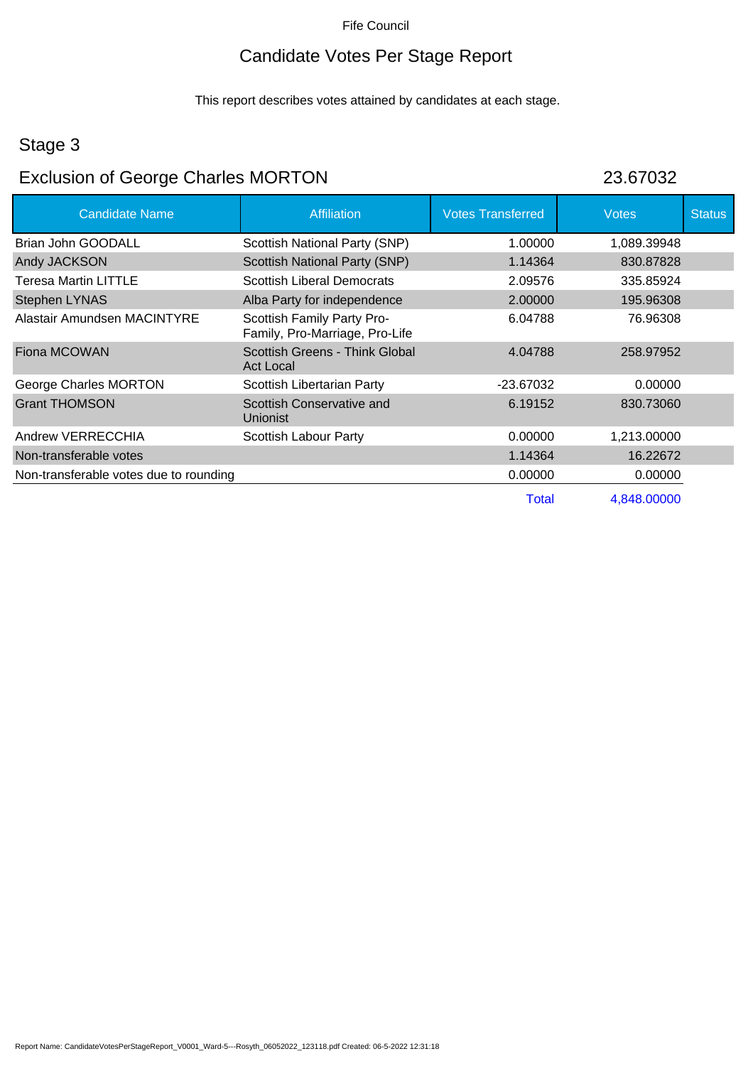### Candidate Votes Per Stage Report

This report describes votes attained by candidates at each stage.

### Stage 3

# Exclusion of George Charles MORTON 23.67032

| <b>Candidate Name</b>                  | Affiliation                                                  | <b>Votes Transferred</b> | <b>Votes</b> | <b>Status</b> |
|----------------------------------------|--------------------------------------------------------------|--------------------------|--------------|---------------|
| Brian John GOODALL                     | Scottish National Party (SNP)                                | 1.00000                  | 1,089.39948  |               |
| Andy JACKSON                           | <b>Scottish National Party (SNP)</b>                         | 1.14364                  | 830.87828    |               |
| <b>Teresa Martin LITTLE</b>            | <b>Scottish Liberal Democrats</b>                            | 2.09576                  | 335.85924    |               |
| <b>Stephen LYNAS</b>                   | Alba Party for independence                                  | 2.00000                  | 195.96308    |               |
| Alastair Amundsen MACINTYRE            | Scottish Family Party Pro-<br>Family, Pro-Marriage, Pro-Life | 6.04788                  | 76.96308     |               |
| Fiona MCOWAN                           | Scottish Greens - Think Global<br><b>Act Local</b>           | 4.04788                  | 258.97952    |               |
| George Charles MORTON                  | Scottish Libertarian Party                                   | -23.67032                | 0.00000      |               |
| <b>Grant THOMSON</b>                   | Scottish Conservative and<br><b>Unionist</b>                 | 6.19152                  | 830.73060    |               |
| Andrew VERRECCHIA                      | Scottish Labour Party                                        | 0.00000                  | 1,213.00000  |               |
| Non-transferable votes                 |                                                              | 1.14364                  | 16.22672     |               |
| Non-transferable votes due to rounding |                                                              | 0.00000                  | 0.00000      |               |
|                                        |                                                              | Total                    | 4.848.00000  |               |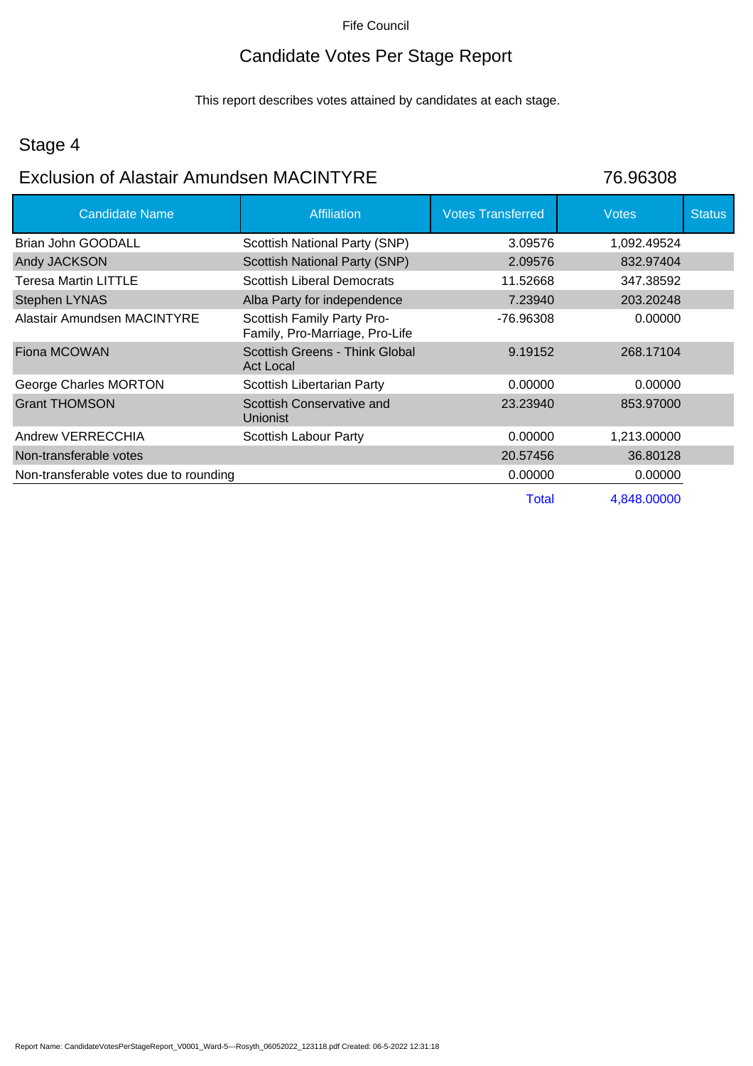## Candidate Votes Per Stage Report

This report describes votes attained by candidates at each stage.

### Stage 4

### Exclusion of Alastair Amundsen MACINTYRE 76.96308

| <b>Candidate Name</b>                  | <b>Affiliation</b>                                           | <b>Votes Transferred</b> | <b>Votes</b> | <b>Status</b> |
|----------------------------------------|--------------------------------------------------------------|--------------------------|--------------|---------------|
| Brian John GOODALL                     | Scottish National Party (SNP)                                | 3.09576                  | 1,092.49524  |               |
| Andy JACKSON                           | <b>Scottish National Party (SNP)</b>                         | 2.09576                  | 832.97404    |               |
| Teresa Martin LITTLE                   | <b>Scottish Liberal Democrats</b>                            | 11.52668                 | 347.38592    |               |
| Stephen LYNAS                          | Alba Party for independence                                  | 7.23940                  | 203.20248    |               |
| Alastair Amundsen MACINTYRE            | Scottish Family Party Pro-<br>Family, Pro-Marriage, Pro-Life | -76.96308                | 0.00000      |               |
| Fiona MCOWAN                           | Scottish Greens - Think Global<br><b>Act Local</b>           | 9.19152                  | 268.17104    |               |
| George Charles MORTON                  | Scottish Libertarian Party                                   | 0.00000                  | 0.00000      |               |
| <b>Grant THOMSON</b>                   | Scottish Conservative and<br><b>Unionist</b>                 | 23.23940                 | 853.97000    |               |
| Andrew VERRECCHIA                      | Scottish Labour Party                                        | 0.00000                  | 1,213.00000  |               |
| Non-transferable votes                 |                                                              | 20.57456                 | 36.80128     |               |
| Non-transferable votes due to rounding |                                                              | 0.00000                  | 0.00000      |               |
|                                        |                                                              | Total                    | 4,848.00000  |               |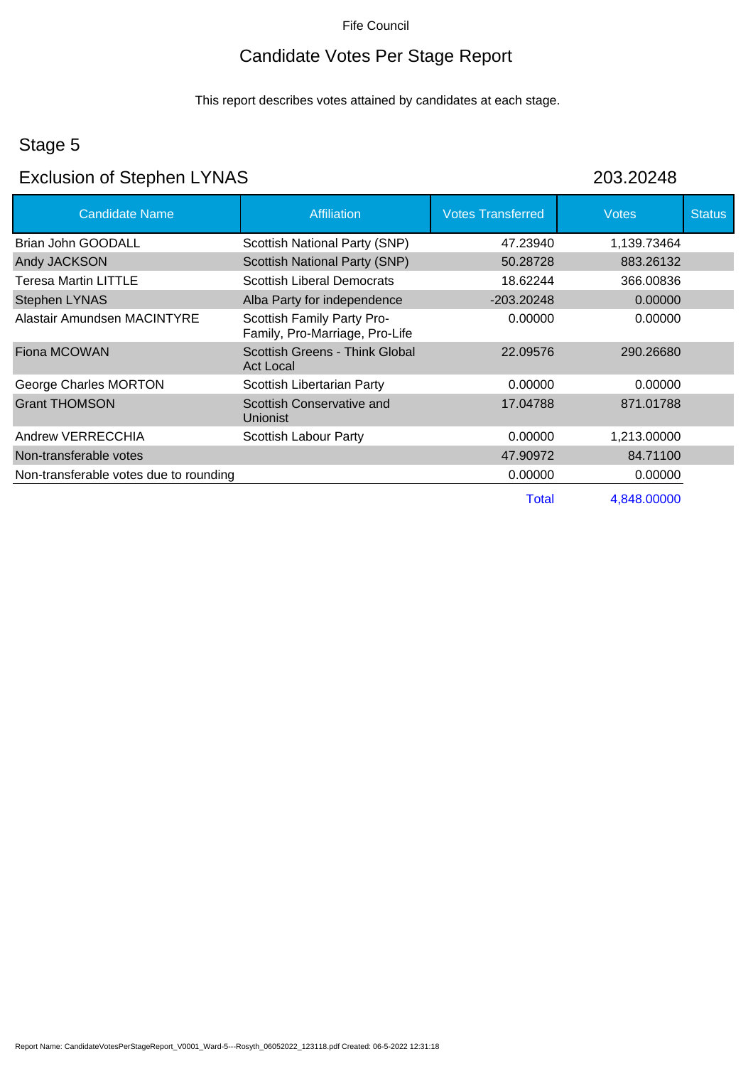## Candidate Votes Per Stage Report

This report describes votes attained by candidates at each stage.

### Stage 5

## Exclusion of Stephen LYNAS 203.20248

| <b>Candidate Name</b>                  | <b>Affiliation</b>                                           | <b>Votes Transferred</b> | <b>Votes</b> | <b>Status</b> |
|----------------------------------------|--------------------------------------------------------------|--------------------------|--------------|---------------|
| Brian John GOODALL                     | Scottish National Party (SNP)                                | 47.23940                 | 1,139.73464  |               |
| Andy JACKSON                           | Scottish National Party (SNP)                                | 50.28728                 | 883.26132    |               |
| <b>Teresa Martin LITTLE</b>            | <b>Scottish Liberal Democrats</b>                            | 18.62244                 | 366.00836    |               |
| <b>Stephen LYNAS</b>                   | Alba Party for independence                                  | -203.20248               | 0.00000      |               |
| Alastair Amundsen MACINTYRE            | Scottish Family Party Pro-<br>Family, Pro-Marriage, Pro-Life | 0.00000                  | 0.00000      |               |
| Fiona MCOWAN                           | Scottish Greens - Think Global<br>Act Local                  | 22.09576                 | 290.26680    |               |
| George Charles MORTON                  | Scottish Libertarian Party                                   | 0.00000                  | 0.00000      |               |
| <b>Grant THOMSON</b>                   | Scottish Conservative and<br><b>Unionist</b>                 | 17.04788                 | 871.01788    |               |
| Andrew VERRECCHIA                      | Scottish Labour Party                                        | 0.00000                  | 1,213.00000  |               |
| Non-transferable votes                 |                                                              | 47.90972                 | 84.71100     |               |
| Non-transferable votes due to rounding |                                                              | 0.00000                  | 0.00000      |               |
|                                        |                                                              | Total                    | 4,848,00000  |               |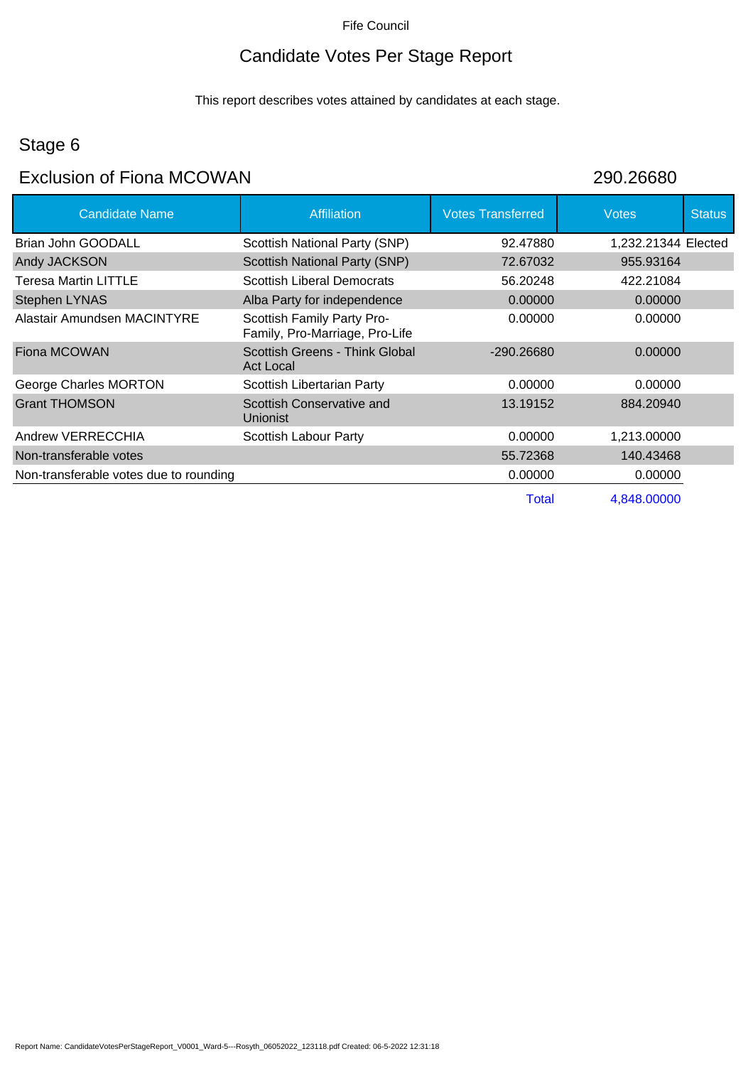## Candidate Votes Per Stage Report

This report describes votes attained by candidates at each stage.

## Stage 6

## Exclusion of Fiona MCOWAN 290.26680

| <b>Candidate Name</b>                  | <b>Affiliation</b>                                           | <b>Votes Transferred</b> | <b>Votes</b>        | <b>Status</b> |
|----------------------------------------|--------------------------------------------------------------|--------------------------|---------------------|---------------|
| <b>Brian John GOODALL</b>              | Scottish National Party (SNP)                                | 92.47880                 | 1,232.21344 Elected |               |
| Andy JACKSON                           | Scottish National Party (SNP)                                | 72.67032                 | 955.93164           |               |
| <b>Teresa Martin LITTLE</b>            | <b>Scottish Liberal Democrats</b>                            | 56.20248                 | 422.21084           |               |
| <b>Stephen LYNAS</b>                   | Alba Party for independence                                  | 0.00000                  | 0.00000             |               |
| Alastair Amundsen MACINTYRE            | Scottish Family Party Pro-<br>Family, Pro-Marriage, Pro-Life | 0.00000                  | 0.00000             |               |
| Fiona MCOWAN                           | Scottish Greens - Think Global<br><b>Act Local</b>           | $-290.26680$             | 0.00000             |               |
| George Charles MORTON                  | Scottish Libertarian Party                                   | 0.00000                  | 0.00000             |               |
| <b>Grant THOMSON</b>                   | Scottish Conservative and<br><b>Unionist</b>                 | 13.19152                 | 884.20940           |               |
| Andrew VERRECCHIA                      | Scottish Labour Party                                        | 0.00000                  | 1,213.00000         |               |
| Non-transferable votes                 |                                                              | 55.72368                 | 140.43468           |               |
| Non-transferable votes due to rounding |                                                              | 0.00000                  | 0.00000             |               |
|                                        |                                                              | Total                    | 4,848.00000         |               |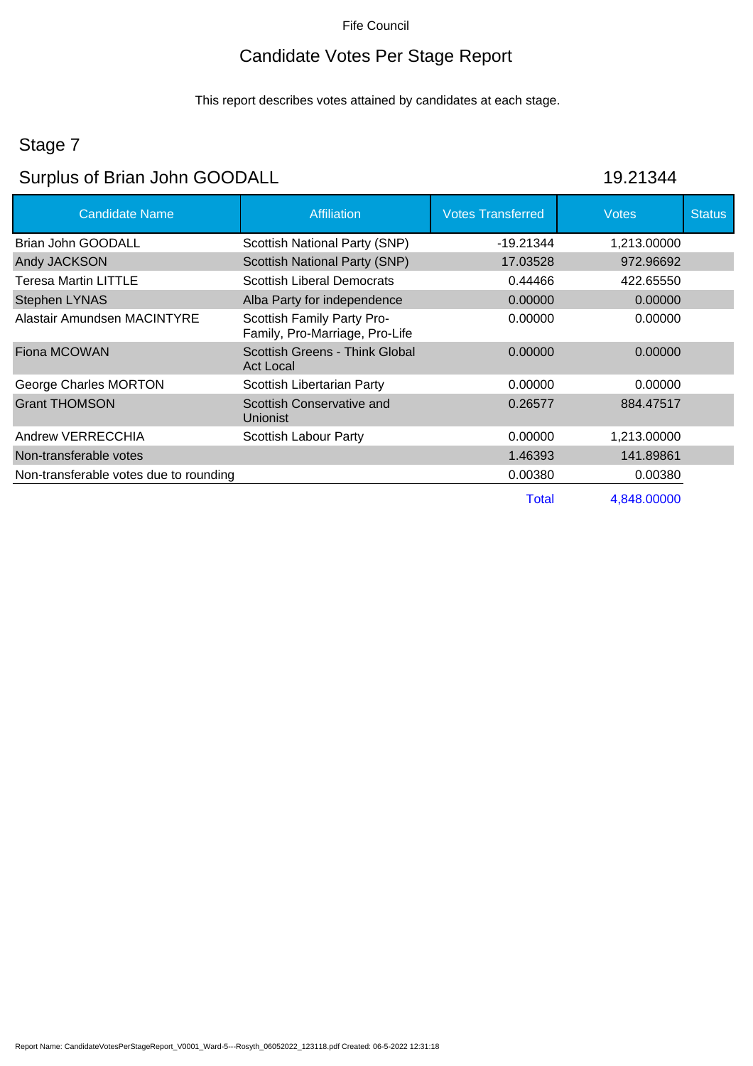## Candidate Votes Per Stage Report

This report describes votes attained by candidates at each stage.

## Stage 7

# Surplus of Brian John GOODALL 19.21344

| <b>Candidate Name</b>                  | <b>Affiliation</b>                                           | <b>Votes Transferred</b> | <b>Votes</b> | <b>Status</b> |
|----------------------------------------|--------------------------------------------------------------|--------------------------|--------------|---------------|
| Brian John GOODALL                     | Scottish National Party (SNP)                                | $-19.21344$              | 1,213.00000  |               |
| Andy JACKSON                           | <b>Scottish National Party (SNP)</b>                         | 17.03528                 | 972.96692    |               |
| <b>Teresa Martin LITTLE</b>            | <b>Scottish Liberal Democrats</b>                            | 0.44466                  | 422.65550    |               |
| <b>Stephen LYNAS</b>                   | Alba Party for independence                                  | 0.00000                  | 0.00000      |               |
| Alastair Amundsen MACINTYRE            | Scottish Family Party Pro-<br>Family, Pro-Marriage, Pro-Life | 0.00000                  | 0.00000      |               |
| Fiona MCOWAN                           | Scottish Greens - Think Global<br><b>Act Local</b>           | 0.00000                  | 0.00000      |               |
| George Charles MORTON                  | Scottish Libertarian Party                                   | 0.00000                  | 0.00000      |               |
| <b>Grant THOMSON</b>                   | Scottish Conservative and<br><b>Unionist</b>                 | 0.26577                  | 884.47517    |               |
| Andrew VERRECCHIA                      | Scottish Labour Party                                        | 0.00000                  | 1,213.00000  |               |
| Non-transferable votes                 |                                                              | 1.46393                  | 141.89861    |               |
| Non-transferable votes due to rounding |                                                              | 0.00380                  | 0.00380      |               |
|                                        |                                                              | Total                    | 4,848.00000  |               |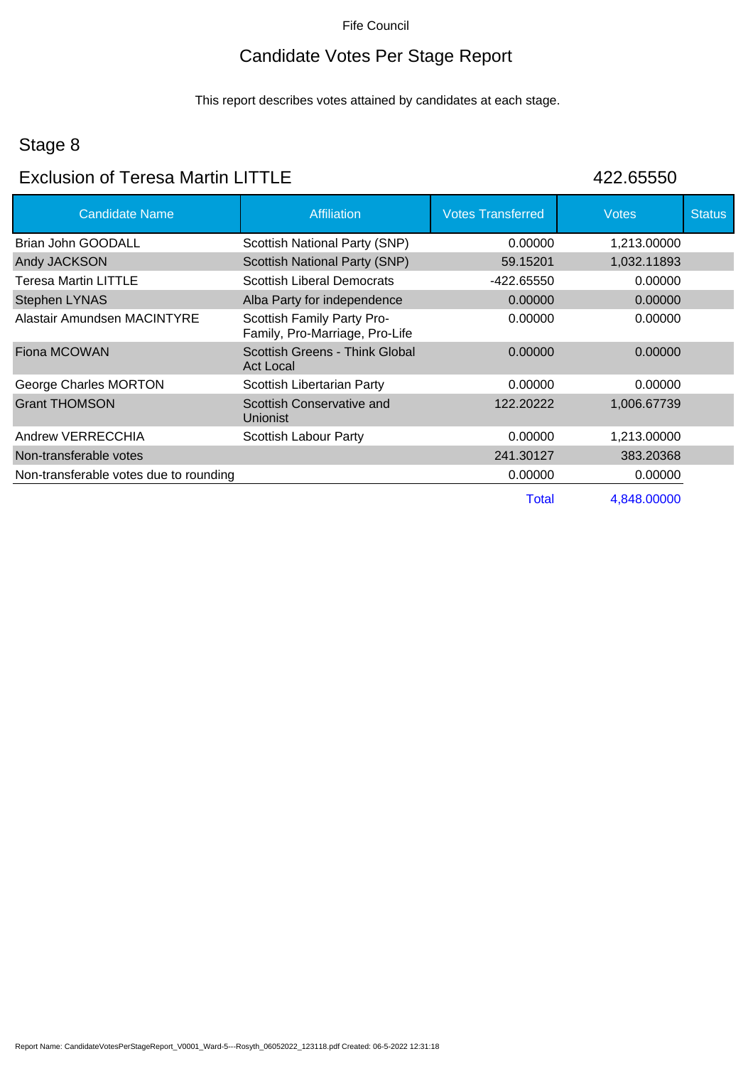## Candidate Votes Per Stage Report

This report describes votes attained by candidates at each stage.

## Stage 8

## Exclusion of Teresa Martin LITTLE 422.65550

| <b>Candidate Name</b>                  | <b>Affiliation</b>                                           | <b>Votes Transferred</b> | <b>Votes</b> | <b>Status</b> |
|----------------------------------------|--------------------------------------------------------------|--------------------------|--------------|---------------|
| Brian John GOODALL                     | Scottish National Party (SNP)                                | 0.00000                  | 1,213.00000  |               |
| Andy JACKSON                           | <b>Scottish National Party (SNP)</b>                         | 59.15201                 | 1,032.11893  |               |
| <b>Teresa Martin LITTLE</b>            | <b>Scottish Liberal Democrats</b>                            | -422.65550               | 0.00000      |               |
| <b>Stephen LYNAS</b>                   | Alba Party for independence                                  | 0.00000                  | 0.00000      |               |
| Alastair Amundsen MACINTYRE            | Scottish Family Party Pro-<br>Family, Pro-Marriage, Pro-Life | 0.00000                  | 0.00000      |               |
| Fiona MCOWAN                           | Scottish Greens - Think Global<br><b>Act Local</b>           | 0.00000                  | 0.00000      |               |
| George Charles MORTON                  | Scottish Libertarian Party                                   | 0.00000                  | 0.00000      |               |
| <b>Grant THOMSON</b>                   | Scottish Conservative and<br>Unionist                        | 122.20222                | 1,006.67739  |               |
| Andrew VERRECCHIA                      | Scottish Labour Party                                        | 0.00000                  | 1,213.00000  |               |
| Non-transferable votes                 |                                                              | 241.30127                | 383.20368    |               |
| Non-transferable votes due to rounding |                                                              | 0.00000                  | 0.00000      |               |
|                                        |                                                              | Total                    | 4,848.00000  |               |